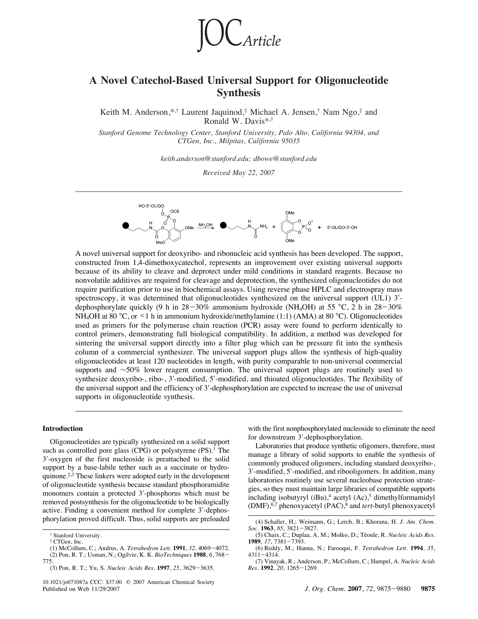

# **A Novel Catechol-Based Universal Support for Oligonucleotide Synthesis**

Keith M. Anderson,\*, $\dagger$  Laurent Jaquinod, $\dagger$  Michael A. Jensen, $\dagger$  Nam Ngo, $\dagger$  and Ronald W. Davis\*,†

Stanford Genome Technology Center, Stanford University, Palo Alto, California 94304, and *CTGen, Inc., Milpitas, California 95035*

*keith.anderson@stanford.edu; dbowe@stanford.edu*

*Recei*V*ed May 22, 2007*



A novel universal support for deoxyribo- and ribonucleic acid synthesis has been developed. The support, constructed from 1,4-dimethoxycatechol, represents an improvement over existing universal supports because of its ability to cleave and deprotect under mild conditions in standard reagents. Because no nonvolatile additives are required for cleavage and deprotection, the synthesized oligonucleotides do not require purification prior to use in biochemical assays. Using reverse phase HPLC and electrospray mass spectroscopy, it was determined that oligonucleotides synthesized on the universal support (UL1) 3'dephosphorylate quickly (9 h in  $28-30\%$  ammonium hydroxide (NH<sub>4</sub>OH) at 55 °C, 2 h in  $28-30\%$ NH<sub>4</sub>OH at 80 °C, or <1 h in ammonium hydroxide/methylamine (1:1) (AMA) at 80 °C). Oligonucleotides used as primers for the polymerase chain reaction (PCR) assay were found to perform identically to control primers, demonstrating full biological compatibility. In addition, a method was developed for sintering the universal support directly into a filter plug which can be pressure fit into the synthesis column of a commercial synthesizer. The universal support plugs allow the synthesis of high-quality oligonucleotides at least 120 nucleotides in length, with purity comparable to non-universal commercial supports and ∼50% lower reagent consumption. The universal support plugs are routinely used to synthesize deoxyribo-, ribo-, 3'-modified, 5'-modified, and thioated oligonucleotides. The flexibility of the universal support and the efficiency of 3'-dephosphorylation are expected to increase the use of universal supports in oligonucleotide synthesis.

## **Introduction**

Oligonucleotides are typically synthesized on a solid support such as controlled pore glass (CPG) or polystyrene (PS).<sup>1</sup> The 3!-oxygen of the first nucleoside is preattached to the solid support by a base-labile tether such as a succinate or hydroquinone.<sup>2,3</sup> These linkers were adopted early in the development of oligonucleotide synthesis because standard phosphoramidite monomers contain a protected 3'-phosphorus which must be removed postsynthesis for the oligonucleotide to be biologically active. Finding a convenient method for complete 3'-dephosphorylation proved difficult. Thus, solid supports are preloaded with the first nonphosphorylated nucleoside to eliminate the need for downstream 3'-dephosphorylation.

Laboratories that produce synthetic oligomers, therefore, must manage a library of solid supports to enable the synthesis of commonly produced oligomers, including standard deoxyribo-, 3'-modified, 5'-modified, and ribooligomers. In addition, many laboratories routinely use several nucleobase protection strategies, so they must maintain large libraries of compatible supports including isobutyryl  $(iBu)$ ,<sup>4</sup> acetyl  $(Ac)$ ,<sup>5</sup> dimethylformamidyl (DMF),6,7 phenoxyacetyl (PAC),8 and *tert*-butyl phenoxyacetyl

Stanford University.

<sup>‡</sup> CTGen, Inc.

<sup>(1)</sup> McCollum, C.; Andrus, A. *Tetrahedron Lett.* **1991**, *32*, 4069-4072. (2) Pon, R. T.; Usman, N.; Ogilvie, K. K. *BioTechniques* **1988**, *6*, 768- 775.

<sup>(3)</sup> Pon, R. T.; Yu, S. *Nucleic Acids Res.* **1997**, *25*, 3629-3635.

<sup>(4)</sup> Schaller, H.; Weimann, G.; Lerch, B.; Khorana, H. *J. Am. Chem. Soc.* **1963**, *85*, 3821-3827.

<sup>(5)</sup> Chaix, C.; Duplaa, A. M.; Molko, D.; Te´oule, R. *Nucleic Acids Res.* **1989**, *17*, 7381-7393.

<sup>(6)</sup> Reddy, M.; Hanna, N.; Farooqui, F. *Tetrahedron Lett.* **1994**, *35*, 4311-4314.

<sup>(7)</sup> Vinayak, R.; Anderson, P.; McCollum, C.; Hampel, A. *Nucleic Acids Res.* **1992**, *20*, 1265-1269.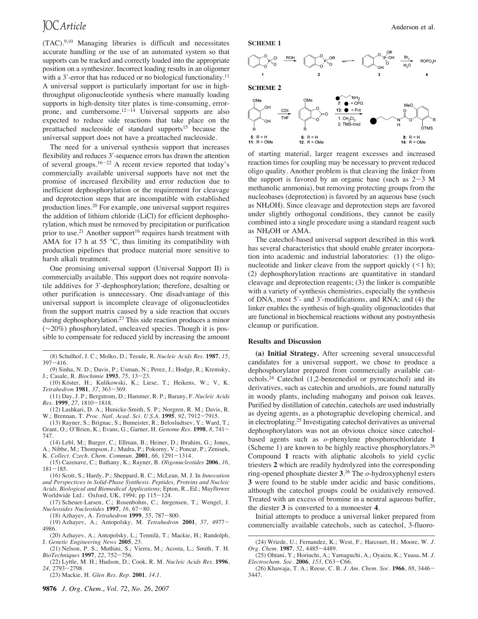(TAC).9,10 Managing libraries is difficult and necessitates accurate handling or the use of an automated system so that supports can be tracked and correctly loaded into the appropriate position on a synthesizer. Incorrect loading results in an oligomer with a  $3'$ -error that has reduced or no biological functionality.<sup>11</sup> A universal support is particularly important for use in highthroughput oligonucleotide synthesis where manually loading supports in high-density titer plates is time-consuming, errorprone, and cumbersome. $12^{-14}$  Universal supports are also expected to reduce side reactions that take place on the preattached nucleoside of standard supports<sup>15</sup> because the universal support does not have a preattached nucleoside.

The need for a universal synthesis support that increases flexibility and reduces 3'-sequence errors has drawn the attention of several groups.<sup>16-22</sup> A recent review reported that today's commercially available universal supports have not met the promise of increased flexibility and error reduction due to inefficient dephosphorylation or the requirement for cleavage and deprotection steps that are incompatible with established production lines.20 For example, one universal support requires the addition of lithium chloride (LiCl) for efficient dephosphorylation, which must be removed by precipitation or purification prior to use.<sup>21</sup> Another support<sup>16</sup> requires harsh treatment with AMA for 17 h at 55  $\degree$ C, thus limiting its compatibility with production pipelines that produce material more sensitive to harsh alkali treatment.

One promising universal support (Universal Support II) is commercially available. This support does not require nonvolatile additives for 3'-dephosphorylation; therefore, desalting or other purification is unnecessary. One disadvantage of this universal support is incomplete cleavage of oligonucleotides from the support matrix caused by a side reaction that occurs during dephosphorylation.<sup>23</sup> This side reaction produces a minor (∼20%) phosphorylated, uncleaved species. Though it is possible to compensate for reduced yield by increasing the amount

- (8) Schulhof, J. C.; Molko, D.; Teoule, R. *Nucleic Acids Res.* **1987**, *15*,  $397 - 416$ .
- (9) Sinha, N. D.; Davis, P.; Usman, N.; Perez, J.; Hodge, R.; Kremsky, J.; Casale, R. *Biochimie* **1993**, *75*, 13-23.
- (10) Köster, H.; Kulikowski, K.; Liese, T.; Heikens, W.; V, K. *Tetrahedron* **1981**, *37*, 363-369.
- (11) Day, J. P.; Bergstrom, D.; Hammer, R. P.; Barany, F. *Nucleic Acids Res.* **1999**, *27*, 1810-1818.
- (12) Lashkari, D. A.; Hunicke-Smith, S. P.; Norgren, R. M.; Davis, R. W.; Brennan, T. *Proc. Natl. Acad. Sci. U.S.A.* **1995**, *92*, 7912-7915.
- (13) Rayner, S.; Brignac, S.; Bumeister, R.; Belosludtsev, Y.; Ward, T.; Grant, O.; O'Brien, K.; Evans, G.; Garner, H. *Genome Res.* **1998**, *8*, 741- 747.
- (14) Lebl, M.; Burger, C.; Ellman, B.; Heiner, D.; Ibrahim, G.; Jones, A.; Nibbe, M.; Thompson, J.; Mudra, P.; Pokorny, V.; Poncar, P.; Zenisek, K. *Collect. Czech. Chem. Commun.* **2001**, *66*, 1291-1314.
- (15) Cazenave, C.; Bathany, K.; Rayner, B. *Oligonucleotides* **2006**, *16*,  $181 - 185$ .
- (16) Scott, S.; Hardy, P.; Sheppard, R. C.; McLean, M. J. In *Inno*V*ation and Perspecti*V*es in Solid-Phase Synthesis. Peptides, Proteins and Nucleic Acids, Biological and Biomedical Applications*; Epton, R., Ed.; Mayflower Worldwide Ltd.: Oxford, UK, 1994; pp 115-124.
- (17) Scheuer-Larsen, C.; Rosenbohm, C.; Jørgensen, T.; Wengel, J. *Nucleosides Nucleotides* **1997**, *16*, 67-80.
	- (18) Azhayev, A. *Tetrahedron* **1999**, *55*, 787-800.
- (19) Azhayev, A.; Antopolsky, M. *Tetrahedron* **2001**, *57*, 4977- 4986.
- (20) Azhayev, A.; Antopolsky, L.; Tennilä, T.; Mackie, H.; Randolph, J. *Genetic Engineering News* **2005**, *25*.
- (21) Nelson, P. S.; Muthini, S.; Vierra, M.; Acosta, L.; Smith, T. H. *BioTechniques* **1997**, *22*, 752-756.
- (22) Lyttle, M. H.; Hudson, D.; Cook, R. M. *Nucleic Acids Res.* **1996**, *24*, 2793-2798.
- (23) Mackie, H. *Glen Res. Rep.* **2001**, *14.1*.





**SCHEME 2**



of starting material, larger reagent excesses and increased reaction times for coupling may be necessary to prevent reduced oligo quality. Another problem is that cleaving the linker from the support is favored by an organic base (such as  $2-3$  M methanolic ammonia), but removing protecting groups from the nucleobases (deprotection) is favored by an aqueous base (such as NH4OH). Since cleavage and deprotection steps are favored under slightly orthogonal conditions, they cannot be easily combined into a single procedure using a standard reagent such as NH4OH or AMA.

The catechol-based universal support described in this work has several characteristics that should enable greater incorporation into academic and industrial laboratories: (1) the oligonucleotide and linker cleave from the support quickly  $($  < 1 h); (2) dephosphorylation reactions are quantitative in standard cleavage and deprotection reagents; (3) the linker is compatible with a variety of synthesis chemistries, especially the synthesis of DNA, most 5'- and 3'-modifications, and RNA; and (4) the linker enables the synthesis of high-quality oligonucleotides that are functional in biochemical reactions without any postsynthesis cleanup or purification.

### **Results and Discussion**

**(a) Initial Strategy.** After screening several unsuccessful candidates for a universal support, we chose to produce a dephosphorylator prepared from commercially available catechols.24 Catechol (1,2-benzenediol or pyrocatechol) and its derivatives, such as catechin and urushiols, are found naturally in woody plants, including mahogany and poison oak leaves. Purified by distillation of catechin, catechols are used industrially as dyeing agents, as a photographic developing chemical, and in electroplating.25 Investigating catechol derivatives as universal dephosphorylators was not an obvious choice since catecholbased agents such as *o*-phenylene phosphorochloridate **1** (Scheme 1) are known to be highly reactive phosphorylators.<sup>26</sup> Compound **1** reacts with aliphatic alcohols to yield cyclic triesters **2** which are readily hydrolyzed into the corresponding ring-opened phosphate diester **3**. <sup>26</sup> The *o*-hydroxyphenyl esters **3** were found to be stable under acidic and basic conditions, although the catechol groups could be oxidatively removed. Treated with an excess of bromine in a neutral aqueous buffer, the diester **3** is converted to a monoester **4**.

Initial attempts to produce a universal linker prepared from commercially available catechols, such as catechol, 3-fluoro-

<sup>(24)</sup> Wriede, U.; Fernandez, K.; West, F.; Harcourt, H.; Moore, W. *J. Org. Chem.* **1987**, *52*, 4485-4489.

<sup>(25)</sup> Ohtani, Y.; Horiuchi, A.; Yamaguchi, A.; Oyaizu, K.; Yuasa, M. *J. Electrochem. Soc.* **2006**, *153*, C63-C66.

<sup>(26)</sup> Khawaja, T. A.; Reese, C. B. *J. Am. Chem. Soc.* **1966**, *88*, 3446- 3447.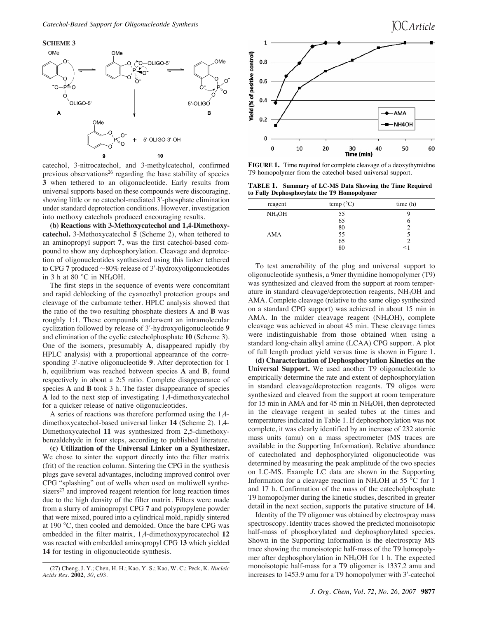**SCHEME 3**



catechol, 3-nitrocatechol, and 3-methylcatechol, confirmed previous observations<sup>26</sup> regarding the base stability of species **3** when tethered to an oligonucleotide. Early results from universal supports based on these compounds were discouraging, showing little or no catechol-mediated 3'-phosphate elimination under standard deprotection conditions. However, investigation into methoxy catechols produced encouraging results.

**(b) Reactions with 3-Methoxycatechol and 1,4-Dimethoxycatechol.** 3-Methoxycatechol **5** (Scheme 2), when tethered to an aminopropyl support **7**, was the first catechol-based compound to show any dephosphorylation. Cleavage and deprotection of oligonucleotides synthesized using this linker tethered to CPG **7** produced ∼80% release of 3'-hydroxyoligonucleotides in 3 h at 80  $^{\circ}$ C in NH<sub>4</sub>OH.

The first steps in the sequence of events were concomitant and rapid deblocking of the cyanoethyl protection groups and cleavage of the carbamate tether. HPLC analysis showed that the ratio of the two resulting phosphate diesters **A** and **B** was roughly 1:1. These compounds underwent an intramolecular cyclization followed by release of 3!-hydroxyoligonucleotide **9** and elimination of the cyclic catecholphosphate **10** (Scheme 3). One of the isomers, presumably **A**, disappeared rapidly (by HPLC analysis) with a proportional appearance of the corresponding 3<sup>'</sup>-native oligonucleotide **9**. After deprotection for 1 h, equilibrium was reached between species **A** and **B**, found respectively in about a 2:5 ratio. Complete disappearance of species **A** and **B** took 3 h. The faster disappearance of species **A** led to the next step of investigating 1,4-dimethoxycatechol for a quicker release of native oligonucleotides.

A series of reactions was therefore performed using the 1,4 dimethoxycatechol-based universal linker **14** (Scheme 2). 1,4- Dimethoxycatechol **11** was synthesized from 2,5-dimethoxybenzaldehyde in four steps, according to published literature.

**(c) Utilization of the Universal Linker on a Synthesizer.** We chose to sinter the support directly into the filter matrix (frit) of the reaction column. Sintering the CPG in the synthesis plugs gave several advantages, including improved control over CPG "splashing" out of wells when used on multiwell synthesizers<sup>27</sup> and improved reagent retention for long reaction times due to the high density of the filter matrix. Filters were made from a slurry of aminopropyl CPG **7** and polypropylene powder that were mixed, poured into a cylindrical mold, rapidly sintered at 190 °C, then cooled and demolded. Once the bare CPG was embedded in the filter matrix, 1,4-dimethoxypyrocatechol **12** was reacted with embedded aminopropyl CPG **13** which yielded **14** for testing in oligonucleotide synthesis.



**FIGURE 1.** Time required for complete cleavage of a deoxythymidine T9 homopolymer from the catechol-based universal support.

**TABLE 1. Summary of LC-MS Data Showing the Time Required to Fully Dephosphorylate the T9 Homopolymer**

| -<br>-             | . .                |         |
|--------------------|--------------------|---------|
| reagent            | temp $(^{\circ}C)$ | time(h) |
| NH <sub>4</sub> OH | 55                 | ч       |
|                    | 65                 | O       |
|                    | 80                 |         |
| AMA                | 55                 |         |
|                    | 65                 |         |
|                    | 80                 |         |
|                    |                    |         |

To test amenability of the plug and universal support to oligonucleotide synthesis, a 9mer thymidine homopolymer (T9) was synthesized and cleaved from the support at room temperature in standard cleavage/deprotection reagents, NH4OH and AMA. Complete cleavage (relative to the same oligo synthesized on a standard CPG support) was achieved in about 15 min in AMA. In the milder cleavage reagent  $(NH_4OH)$ , complete cleavage was achieved in about 45 min. These cleavage times were indistinguishable from those obtained when using a standard long-chain alkyl amine (LCAA) CPG support. A plot of full length product yield versus time is shown in Figure 1.

**(d) Characterization of Dephosphorylation Kinetics on the Universal Support.** We used another T9 oligonucleotide to empirically determine the rate and extent of dephosphorylation in standard cleavage/deprotection reagents. T9 oligos were synthesized and cleaved from the support at room temperature for 15 min in AMA and for 45 min in NH4OH, then deprotected in the cleavage reagent in sealed tubes at the times and temperatures indicated in Table 1. If dephosphorylation was not complete, it was clearly identified by an increase of 232 atomic mass units (amu) on a mass spectrometer (MS traces are available in the Supporting Information). Relative abundance of catecholated and dephosphorylated oligonucleotide was determined by measuring the peak amplitude of the two species on LC-MS. Example LC data are shown in the Supporting Information for a cleavage reaction in NH<sub>4</sub>OH at 55  $\degree$ C for 1 and 17 h. Confirmation of the mass of the catecholphosphate T9 homopolymer during the kinetic studies, described in greater detail in the next section, supports the putative structure of **14**.

Identity of the T9 oligomer was obtained by electrospray mass spectroscopy. Identity traces showed the predicted monoisotopic half-mass of phosphorylated and dephosphorylated species. Shown in the Supporting Information is the electrospray MS trace showing the monoisotopic half-mass of the T9 homopolymer after dephosphorylation in NH4OH for 1 h. The expected monoisotopic half-mass for a T9 oligomer is 1337.2 amu and increases to 1453.9 amu for a T9 homopolymer with 3'-catechol

<sup>(27)</sup> Cheng, J. Y.; Chen, H. H.; Kao, Y. S.; Kao, W. C.; Peck, K. *Nucleic Acids Res.* **2002**, *30*, e93.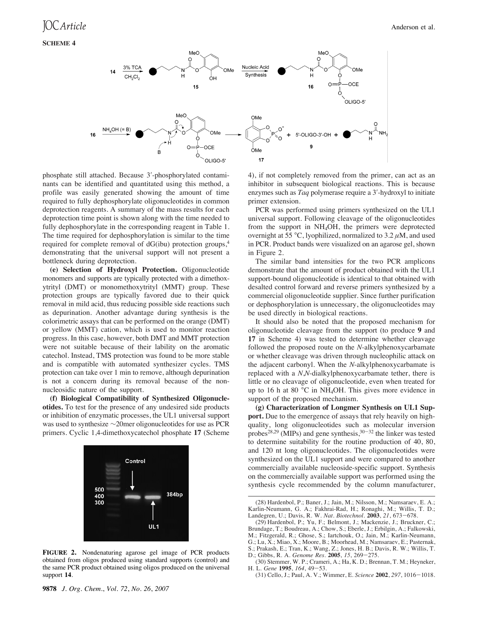

phosphate still attached. Because 3'-phosphorylated contaminants can be identified and quantitated using this method, a profile was easily generated showing the amount of time required to fully dephosphorylate oligonucleotides in common deprotection reagents. A summary of the mass results for each deprotection time point is shown along with the time needed to fully dephosphorylate in the corresponding reagent in Table 1. The time required for dephosphorylation is similar to the time required for complete removal of dG(ibu) protection groups,4 demonstrating that the universal support will not present a bottleneck during deprotection.

**(e) Selection of Hydroxyl Protection.** Oligonucleotide monomers and supports are typically protected with a dimethoxytrityl (DMT) or monomethoxytrityl (MMT) group. These protection groups are typically favored due to their quick removal in mild acid, thus reducing possible side reactions such as depurination. Another advantage during synthesis is the colorimetric assays that can be performed on the orange (DMT) or yellow (MMT) cation, which is used to monitor reaction progress. In this case, however, both DMT and MMT protection were not suitable because of their lability on the aromatic catechol. Instead, TMS protection was found to be more stable and is compatible with automated synthesizer cycles. TMS protection can take over 1 min to remove, although depurination is not a concern during its removal because of the nonnucleosidic nature of the support.

**(f) Biological Compatibility of Synthesized Oligonucleotides.** To test for the presence of any undesired side products or inhibition of enzymatic processes, the UL1 universal support was used to synthesize ∼20mer oligonucleotides for use as PCR primers. Cyclic 1,4-dimethoxycatechol phosphate **17** (Scheme



**FIGURE 2.** Nondenaturing agarose gel image of PCR products obtained from oligos produced using standard supports (control) and the same PCR product obtained using oligos produced on the universal support **14**.

4), if not completely removed from the primer, can act as an inhibitor in subsequent biological reactions. This is because enzymes such as *Taq* polymerase require a 3'-hydroxyl to initiate primer extension.

PCR was performed using primers synthesized on the UL1 universal support. Following cleavage of the oligonucleotides from the support in NH4OH, the primers were deprotected overnight at 55 °C, lyophilized, normalized to 3.2  $\mu$ M, and used in PCR. Product bands were visualized on an agarose gel, shown in Figure 2.

The similar band intensities for the two PCR amplicons demonstrate that the amount of product obtained with the UL1 support-bound oligonucleotide is identical to that obtained with desalted control forward and reverse primers synthesized by a commercial oligonucleotide supplier. Since further purification or dephosphorylation is unnecessary, the oligonucleotides may be used directly in biological reactions.

It should also be noted that the proposed mechanism for oligonucleotide cleavage from the support (to produce **9** and **17** in Scheme 4) was tested to determine whether cleavage followed the proposed route on the *N*-alkylphenoxycarbamate or whether cleavage was driven through nucleophilic attack on the adjacent carbonyl. When the *N*-alkylphenoxycarbamate is replaced with a *N*,*N*-dialkylphenoxycarbamate tether, there is little or no cleavage of oligonucleotide, even when treated for up to 16 h at 80 °C in NH4OH. This gives more evidence in support of the proposed mechanism.

**(g) Characterization of Longmer Synthesis on UL1 Support.** Due to the emergence of assays that rely heavily on highquality, long oligonucleotides such as molecular inversion probes<sup>28,29</sup> (MIPs) and gene synthesis,  $30-32$  the linker was tested to determine suitability for the routine production of 40, 80, and 120 nt long oligonucleotides. The oligonucleotides were synthesized on the UL1 support and were compared to another commercially available nucleoside-specific support. Synthesis on the commercially available support was performed using the synthesis cycle recommended by the column manufacturer,

<sup>(28)</sup> Hardenbol, P.; Baner, J.; Jain, M.; Nilsson, M.; Namsaraev, E. A.; Karlin-Neumann, G. A.; Fakhrai-Rad, H.; Ronaghi, M.; Willis, T. D.; Landegren, U.; Davis, R. W. *Nat. Biotechnol.* **2003**, *21*, 673-678.

<sup>(29)</sup> Hardenbol, P.; Yu, F.; Belmont, J.; Mackenzie, J.; Bruckner, C.; Brundage, T.; Boudreau, A.; Chow, S.; Eberle, J.; Erbilgin, A.; Falkowski, M.; Fitzgerald, R.; Ghose, S.; Iartchouk, O.; Jain, M.; Karlin-Neumann, G.; Lu, X.; Miao, X.; Moore, B.; Moorhead, M.; Namsaraev, E.; Pasternak, S.; Prakash, E.; Tran, K.; Wang, Z.; Jones, H. B.; Davis, R. W.; Willis, T. D.; Gibbs, R. A. *Genome Res.* **2005**, *15*, 269-275.

<sup>(30)</sup> Stemmer, W. P.; Crameri, A.; Ha, K. D.; Brennan, T. M.; Heyneker, H. L. *Gene* **1995**, *164*, 49-53.

<sup>(31)</sup> Cello, J.; Paul, A. V.; Wimmer, E. *Science* **2002**, *297*, 1016-1018.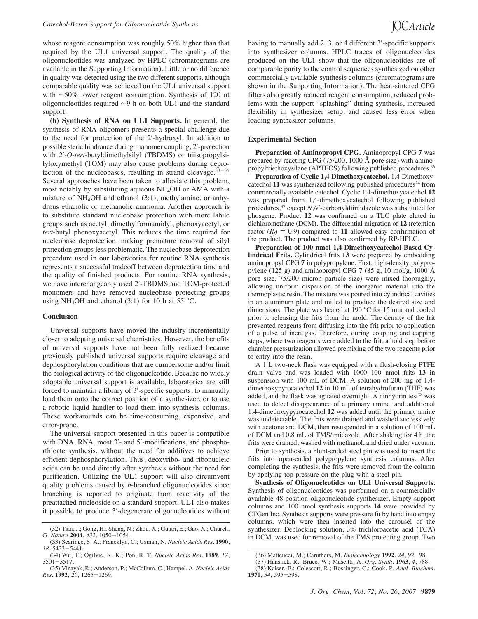whose reagent consumption was roughly 50% higher than that required by the UL1 universal support. The quality of the oligonucleotides was analyzed by HPLC (chromatograms are available in the Supporting Information). Little or no difference in quality was detected using the two different supports, although comparable quality was achieved on the UL1 universal support with ∼50% lower reagent consumption. Synthesis of 120 nt oligonucleotides required ∼9 h on both UL1 and the standard support.

**(h) Synthesis of RNA on UL1 Supports.** In general, the synthesis of RNA oligomers presents a special challenge due to the need for protection of the 2'-hydroxyl. In addition to possible steric hindrance during monomer coupling, 2'-protection with 2!-*O*-*tert*-butyldimethylsilyl (TBDMS) or triisopropylsilyloxymethyl (TOM) may also cause problems during deprotection of the nucleobases, resulting in strand cleavage. $33-35$ Several approaches have been taken to alleviate this problem, most notably by substituting aqueous NH4OH or AMA with a mixture of NH4OH and ethanol (3:1), methylamine, or anhydrous ethanolic or methanolic ammonia. Another approach is to substitute standard nucleobase protection with more labile groups such as acetyl, dimethylformamidyl, phenoxyacetyl, or *tert*-butyl phenoxyacetyl. This reduces the time required for nucleobase deprotection, making premature removal of silyl protection groups less problematic. The nucleobase deprotection procedure used in our laboratories for routine RNA synthesis represents a successful tradeoff between deprotection time and the quality of finished products. For routine RNA synthesis, we have interchangeably used 2'-TBDMS and TOM-protected monomers and have removed nucleobase protecting groups using NH<sub>4</sub>OH and ethanol (3:1) for 10 h at 55  $^{\circ}$ C.

#### **Conclusion**

Universal supports have moved the industry incrementally closer to adopting universal chemistries. However, the benefits of universal supports have not been fully realized because previously published universal supports require cleavage and dephosphorylation conditions that are cumbersome and/or limit the biological activity of the oligonucleotide. Because no widely adoptable universal support is available, laboratories are still forced to maintain a library of 3'-specific supports, to manually load them onto the correct position of a synthesizer, or to use a robotic liquid handler to load them into synthesis columns. These workarounds can be time-consuming, expensive, and error-prone.

The universal support presented in this paper is compatible with DNA, RNA, most 3'- and 5'-modifications, and phosphorthioate synthesis, without the need for additives to achieve efficient dephosphorylation. Thus, deoxyribo- and ribonucleic acids can be used directly after synthesis without the need for purification. Utilizing the UL1 support will also circumvent quality problems caused by *n*-branched oligonucleotides since branching is reported to originate from reactivity of the preattached nucleoside on a standard support. UL1 also makes it possible to produce 3'-degenerate oligonucleotides without

having to manually add  $2, 3$ , or 4 different  $3'$ -specific supports into synthesizer columns. HPLC traces of oligonucleotides produced on the UL1 show that the oligonucleotides are of comparable purity to the control sequences synthesized on other commercially available synthesis columns (chromatograms are shown in the Supporting Information). The heat-sintered CPG filters also greatly reduced reagent consumption, reduced problems with the support "splashing" during synthesis, increased flexibility in synthesizer setup, and caused less error when loading synthesizer columns.

## **Experimental Section**

**Preparation of Aminopropyl CPG.** Aminopropyl CPG **7** was prepared by reacting CPG (75/200, 1000 Å pore size) with aminopropyltriethoxysilane (APTEOS) following published procedures.36

**Preparation of Cyclic 1,4-Dimethoxycatechol.** 1,4-Dimethoxycatechol 11 was synthesized following published procedures<sup>24</sup> from commercially available catechol. Cyclic 1,4-dimethoxycatechol **12** was prepared from 1,4-dimethoxycatechol following published procedures,37 except *N*,*N*!-carbonyldiimidazole was substituted for phosgene. Product **12** was confirmed on a TLC plate eluted in dichloromethane (DCM). The differential migration of **12** (retention factor  $(R_f) = 0.9$ ) compared to 11 allowed easy confirmation of the product. The product was also confirmed by RP-HPLC.

**Preparation of 100 nmol 1,4-Dimethoxycatechol-Based Cylindrical Frits.** Cylindrical frits **13** were prepared by embedding aminopropyl CPG **7** in polypropylene. First, high-density polypropylene (125 g) and aminopropyl CPG **7** (85 g, 10 mol/g, 1000 Å pore size, 75/200 micron particle size) were mixed thoroughly, allowing uniform dispersion of the inorganic material into the thermoplastic resin. The mixture was poured into cylindrical cavities in an aluminum plate and milled to produce the desired size and dimensions. The plate was heated at 190 °C for 15 min and cooled prior to releasing the frits from the mold. The density of the frit prevented reagents from diffusing into the frit prior to application of a pulse of inert gas. Therefore, during coupling and capping steps, where two reagents were added to the frit, a hold step before chamber pressurization allowed premixing of the two reagents prior to entry into the resin.

A 1 L two-neck flask was equipped with a flush-closing PTFE drain valve and was loaded with 1000 100 nmol frits **13** in suspension with 100 mL of DCM. A solution of 200 mg of 1,4 dimethoxypyrocatechol **12** in 10 mL of tetrahydrofuran (THF) was added, and the flask was agitated overnight. A ninhydrin test<sup>38</sup> was used to detect disappearance of a primary amine, and additional 1,4-dimethoxypyrocatechol **12** was added until the primary amine was undetectable. The frits were drained and washed successively with acetone and DCM, then resuspended in a solution of 100 mL of DCM and 0.8 mL of TMS/imidazole. After shaking for 4 h, the frits were drained, washed with methanol, and dried under vacuum.

Prior to synthesis, a blunt-ended steel pin was used to insert the frits into open-ended polypropylene synthesis columns. After completing the synthesis, the frits were removed from the column by applying top pressure on the plug with a steel pin.

**Synthesis of Oligonucleotides on UL1 Universal Supports.** Synthesis of oligonucleotides was performed on a commercially available 48-position oligonucleotide synthesizer. Empty support columns and 100 nmol synthesis supports **14** were provided by CTGen Inc. Synthesis supports were pressure fit by hand into empty columns, which were then inserted into the carousel of the synthesizer. Deblocking solution, 3% trichloroacetic acid (TCA) in DCM, was used for removal of the TMS protecting group. Two

<sup>(32)</sup> Tian, J.; Gong, H.; Sheng, N.; Zhou, X.; Gulari, E.; Gao, X.; Church, G. *Nature* **2004**, *432*, 1050-1054.

<sup>(33)</sup> Scaringe, S. A.; Francklyn, C.; Usman, N. *Nucleic Acids Res.* **1990**, *18*, 5433-5441.

<sup>(34)</sup> Wu, T.; Ogilvie, K. K.; Pon, R. T. *Nucleic Acids Res.* **1989**, *17*,  $3501 - 3517$ .

<sup>(35)</sup> Vinayak, R.; Anderson, P.; McCollum, C.; Hampel, A. *Nucleic Acids Res.* **1992**, *20*, 1265-1269.

<sup>(36)</sup> Matteucci, M.; Caruthers, M. *Biotechnology* **1992**, *24*, 92-98.

<sup>(37)</sup> Hanslick, R.; Bruce, W.; Mascitti, A. *Org. Synth.* **1963**, *4*, 788. (38) Kaiser, E.; Colescott, R.; Bossinger, C.; Cook, P. *Anal. Biochem.* **1970**, *34*, 595-598.